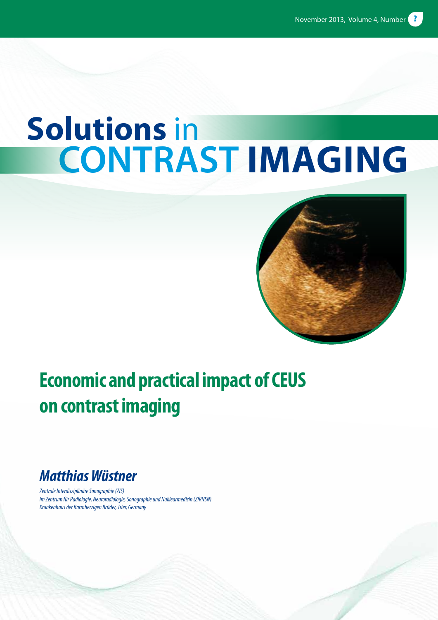# **Solutions in<br>
CONTRAST IMAGING**



# **Economic and practical impact of CEUS on contrast imaging**

# *Matthias Wüstner*

*Zentrale Interdisziplinäre Sonographie (ZIS) im Zentrum für Radiologie, Neuroradiologie, Sonographie und Nuklearmedizin (ZfRNSN) Krankenhaus der Barmherzigen Brüder, Trier, Germany*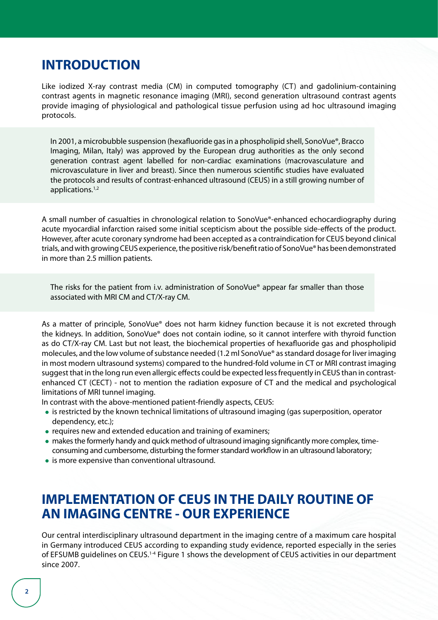# **INTRODUCTION**

Like iodized X-ray contrast media (CM) in computed tomography (CT) and gadolinium-containing contrast agents in magnetic resonance imaging (MRI), second generation ultrasound contrast agents provide imaging of physiological and pathological tissue perfusion using ad hoc ultrasound imaging protocols.

In 2001, a microbubble suspension (hexafluoride gas in a phospholipid shell, SonoVue®, Bracco Imaging, Milan, Italy) was approved by the European drug authorities as the only second generation contrast agent labelled for non-cardiac examinations (macrovasculature and microvasculature in liver and breast). Since then numerous scientific studies have evaluated the protocols and results of contrast-enhanced ultrasound (CEUS) in a still growing number of applications.1,2

A small number of casualties in chronological relation to SonoVue®-enhanced echocardiography during acute myocardial infarction raised some initial scepticism about the possible side-effects of the product. However, after acute coronary syndrome had been accepted as a contraindication for CEUS beyond clinical trials, and with growing CEUS experience, the positive risk/benefit ratio of SonoVue® has been demonstrated in more than 2.5 million patients.

The risks for the patient from i.v. administration of SonoVue® appear far smaller than those associated with MRI CM and CT/X-ray CM.

As a matter of principle, SonoVue® does not harm kidney function because it is not excreted through the kidneys. In addition, SonoVue® does not contain iodine, so it cannot interfere with thyroid function as do CT/X-ray CM. Last but not least, the biochemical properties of hexafluoride gas and phospholipid molecules, and the low volume of substance needed (1.2 ml SonoVue® as standard dosage for liver imaging in most modern ultrasound systems) compared to the hundred-fold volume in CT or MRI contrast imaging suggest that in the long run even allergic effects could be expected less frequently in CEUS than in contrastenhanced CT (CECT) - not to mention the radiation exposure of CT and the medical and psychological limitations of MRI tunnel imaging.

In contrast with the above-mentioned patient-friendly aspects, CEUS:

- is restricted by the known technical limitations of ultrasound imaging (gas superposition, operator dependency, etc.);
- requires new and extended education and training of examiners;
- makes the formerly handy and quick method of ultrasound imaging significantly more complex, timeconsuming and cumbersome, disturbing the former standard workflow in an ultrasound laboratory;
- is more expensive than conventional ultrasound.

# **IMPLEMENTATION OF CEUS IN THE DAILY ROUTINE OF AN IMAGING CENTRE - OUR EXPERIENCE**

Our central interdisciplinary ultrasound department in the imaging centre of a maximum care hospital in Germany introduced CEUS according to expanding study evidence, reported especially in the series of EFSUMB guidelines on CEUS.1-4 Figure 1 shows the development of CEUS activities in our department since 2007.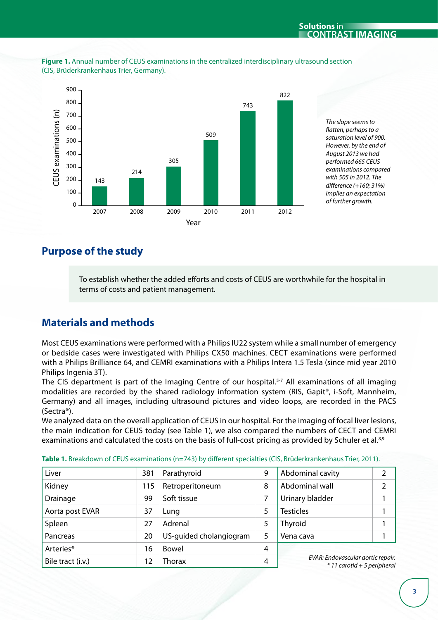

**Figure 1.** Annual number of CEUS examinations in the centralized interdisciplinary ultrasound section (CIS, Brüderkrankenhaus Trier, Germany).

> *The slope seems to flatten, perhaps to a saturation level of 900. However, by the end of August 2013 we had performed 665 CEUS examinations compared with 505 in 2012. The difference (+160; 31%) implies an expectation of further growth.*

## **Purpose of the study**

To establish whether the added efforts and costs of CEUS are worthwhile for the hospital in terms of costs and patient management.

## **Materials and methods**

Most CEUS examinations were performed with a Philips IU22 system while a small number of emergency or bedside cases were investigated with Philips CX50 machines. CECT examinations were performed with a Philips Brilliance 64, and CEMRI examinations with a Philips Intera 1.5 Tesla (since mid year 2010 Philips Ingenia 3T).

The CIS department is part of the Imaging Centre of our hospital.<sup>5-7</sup> All examinations of all imaging modalities are recorded by the shared radiology information system (RIS, Gapit®, i-Soft, Mannheim, Germany) and all images, including ultrasound pictures and video loops, are recorded in the PACS (Sectra®).

We analyzed data on the overall application of CEUS in our hospital. For the imaging of focal liver lesions, the main indication for CEUS today (see Table 1), we also compared the numbers of CECT and CEMRI examinations and calculated the costs on the basis of full-cost pricing as provided by Schuler et al.<sup>8,9</sup>

| Liver             | 381 | Parathyroid             | 9 | Abdominal cavity                                                 | 2 |
|-------------------|-----|-------------------------|---|------------------------------------------------------------------|---|
| Kidney            | 115 | Retroperitoneum         | 8 | Abdominal wall                                                   | 2 |
| Drainage          | 99  | Soft tissue             | 7 | Urinary bladder                                                  |   |
| Aorta post EVAR   | 37  | Lung                    | 5 | <b>Testicles</b>                                                 |   |
| Spleen            | 27  | Adrenal                 | 5 | Thyroid                                                          |   |
| Pancreas          | 20  | US-quided cholangiogram | 5 | Vena cava                                                        |   |
| Arteries*         | 16  | Bowel                   | 4 | EVAR: Endovascular aortic repair.<br>* 11 carotid + 5 periphera. |   |
| Bile tract (i.v.) | 12  | <b>Thorax</b>           | 4 |                                                                  |   |

**Table 1.** Breakdown of CEUS examinations (n=743) by different specialties (CIS, Brüderkrankenhaus Trier, 2011).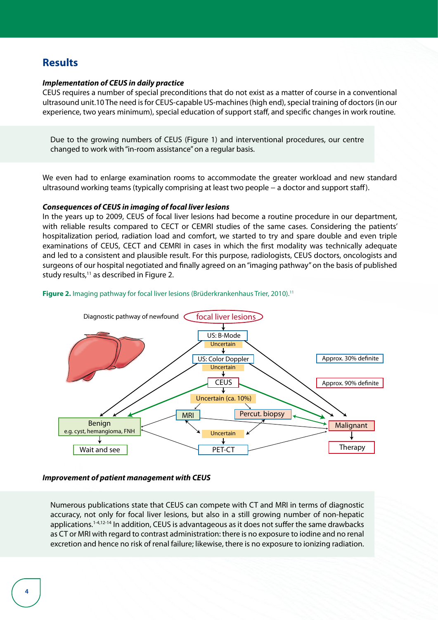### **Results**

#### *Implementation of CEUS in daily practice*

CEUS requires a number of special preconditions that do not exist as a matter of course in a conventional ultrasound unit.10 The need is for CEUS-capable US-machines (high end), special training of doctors (in our experience, two years minimum), special education of support staff, and specific changes in work routine.

Due to the growing numbers of CEUS (Figure 1) and interventional procedures, our centre changed to work with "in-room assistance" on a regular basis.

We even had to enlarge examination rooms to accommodate the greater workload and new standard ultrasound working teams (typically comprising at least two people − a doctor and support staff).

#### *Consequences of CEUS in imaging of focal liver lesions*

In the years up to 2009, CEUS of focal liver lesions had become a routine procedure in our department, with reliable results compared to CECT or CEMRI studies of the same cases. Considering the patients' hospitalization period, radiation load and comfort, we started to try and spare double and even triple examinations of CEUS, CECT and CEMRI in cases in which the first modality was technically adequate and led to a consistent and plausible result. For this purpose, radiologists, CEUS doctors, oncologists and surgeons of our hospital negotiated and finally agreed on an "imaging pathway" on the basis of published study results, $11$  as described in Figure 2.

#### **Figure 2.** Imaging pathway for focal liver lesions (Brüderkrankenhaus Trier, 2010).<sup>11</sup>



#### *Improvement of patient management with CEUS*

Numerous publications state that CEUS can compete with CT and MRI in terms of diagnostic accuracy, not only for focal liver lesions, but also in a still growing number of non-hepatic applications.<sup>1-4,12-14</sup> In addition, CEUS is advantageous as it does not suffer the same drawbacks as CT or MRI with regard to contrast administration: there is no exposure to iodine and no renal excretion and hence no risk of renal failure; likewise, there is no exposure to ionizing radiation.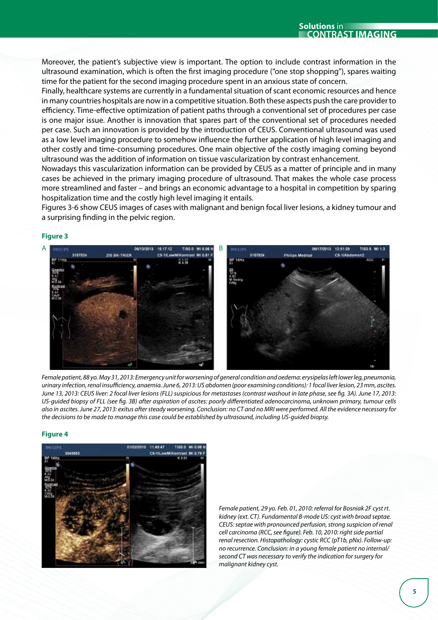**Solutions** in **contrast imaging**

Moreover, the patient's subjective view is important. The option to include contrast information in the ultrasound examination, which is often the first imaging procedure ("one stop shopping"), spares waiting time for the patient for the second imaging procedure spent in an anxious state of concern.

Finally, healthcare systems are currently in a fundamental situation of scant economic resources and hence in many countries hospitals are now in a competitive situation. Both these aspects push the care provider to efficiency. Time-effective optimization of patient paths through a conventional set of procedures per case is one major issue. Another is innovation that spares part of the conventional set of procedures needed per case. Such an innovation is provided by the introduction of CEUS. Conventional ultrasound was used as a low level imaging procedure to somehow influence the further application of high level imaging and other costly and time-consuming procedures. One main objective of the costly imaging coming beyond ultrasound was the addition of information on tissue vascularization by contrast enhancement.

Nowadays this vascularization information can be provided by CEUS as a matter of principle and in many cases be achieved in the primary imaging procedure of ultrasound. That makes the whole case process more streamlined and faster – and brings an economic advantage to a hospital in competition by sparing hospitalization time and the costly high level imaging it entails.

Figures 3-6 show CEUS images of cases with malignant and benign focal liver lesions, a kidney tumour and a surprising finding in the pelvic region.

#### **Figure 3**

*Female patient, 88 yo. May 31, 2013: Emergency unit for worsening of general condition and oedema: erysipelas left lower leg, pneumonia, urinary infection, renal insufficiency, anaemia. June 6, 2013: US abdomen (poor examining conditions): 1 focal liver lesion, 23 mm, ascites. June 13, 2013: CEUS liver: 2 focal liver lesions (FLL) suspicious for metastases (contrast washout in late phase, see fig. 3A). June 17, 2013: US-guided biopsy of FLL (see fig. 3B) after aspiration of ascites: poorly differentiated adenocarcinoma, unknown primary, tumour cells also in ascites. June 27, 2013: exitus after steady worsening. Conclusion: no CT and no MRI were performed. All the evidence necessary for the decisions to be made to manage this case could be established by ultrasound, including US-guided biopsy.* 

#### **Figure 4**

*Female patient, 29 yo. Feb. 01, 2010: referral for Bosniak 2F cyst rt. kidney (ext. CT). Fundamental B-mode US: cyst with broad septae. CEUS: septae with pronounced perfusion, strong suspicion of renal cell carcinoma (RCC, see figure). Feb. 10, 2010: right side partial renal resection. Histopathology: cystic RCC (pT1b, pNx). Follow-up: no recurrence. Conclusion: in a young female patient no internal/ second CT was necessary to verify the indication for surgery for malignant kidney cyst.*

# 11:45:47 **MALLARY**

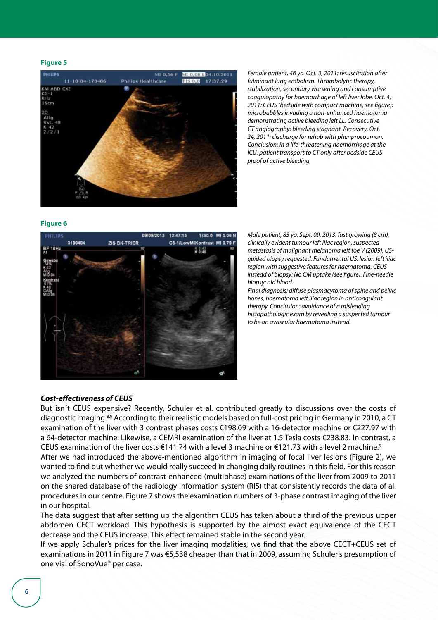#### **Figure 5**



*Female patient, 46 yo. Oct. 3, 2011: resuscitation after fulminant lung embolism. Thrombolytic therapy, stabilization, secondary worsening and consumptive coagulopathy for haemorrhage of left liver lobe. Oct. 4, 2011: CEUS (bedside with compact machine, see figure): microbubbles invading a non-enhanced haematoma demonstrating active bleeding left LL. Consecutive CT angiography: bleeding stagnant. Recovery, Oct. 24, 2011: discharge for rehab with phenprocoumon. Conclusion: in a life-threatening haemorrhage at the ICU, patient transport to CT only after bedside CEUS proof of active bleeding.*

#### **Figure 6**



*Male patient, 83 yo. Sept. 09, 2013: fast growing (8 cm), clinically evident tumour left iliac region, suspected metastasis of malignant melanoma left toe V (2009). USguided biopsy requested. Fundamental US: lesion left iliac region with suggestive features for haematoma. CEUS instead of biopsy: No CM uptake (see figure). Fine-needle biopsy: old blood.* 

*Final diagnosis: diffuse plasmacytoma of spine and pelvic bones, haematoma left iliac region in anticoagulant therapy. Conclusion: avoidance of a misleading histopathologic exam by revealing a suspected tumour to be an avascular haematoma instead.*

#### *Cost-effectiveness of CEUS*

But isn´t CEUS expensive? Recently, Schuler et al. contributed greatly to discussions over the costs of diagnostic imaging.8,9 According to their realistic models based on full-cost pricing in Germany in 2010, a CT examination of the liver with 3 contrast phases costs €198.09 with a 16-detector machine or €227.97 with a 64-detector machine. Likewise, a CEMRI examination of the liver at 1.5 Tesla costs €238.83. In contrast, a CEUS examination of the liver costs €141.74 with a level 3 machine or €121.73 with a level 2 machine.<sup>9</sup>

After we had introduced the above-mentioned algorithm in imaging of focal liver lesions (Figure 2), we wanted to find out whether we would really succeed in changing daily routines in this field. For this reason we analyzed the numbers of contrast-enhanced (multiphase) examinations of the liver from 2009 to 2011 on the shared database of the radiology information system (RIS) that consistently records the data of all procedures in our centre. Figure 7 shows the examination numbers of 3-phase contrast imaging of the liver in our hospital.

The data suggest that after setting up the algorithm CEUS has taken about a third of the previous upper abdomen CECT workload. This hypothesis is supported by the almost exact equivalence of the CECT decrease and the CEUS increase. This effect remained stable in the second year.

If we apply Schuler's prices for the liver imaging modalities, we find that the above CECT+CEUS set of examinations in 2011 in Figure 7 was €5,538 cheaper than that in 2009, assuming Schuler's presumption of one vial of SonoVue® per case.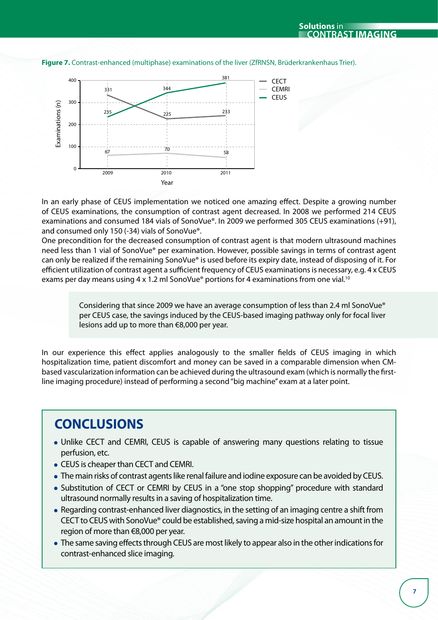

**Figure 7.** Contrast-enhanced (multiphase) examinations of the liver (ZfRNSN, Brüderkrankenhaus Trier).

In an early phase of CEUS implementation we noticed one amazing effect. Despite a growing number of CEUS examinations, the consumption of contrast agent decreased. In 2008 we performed 214 CEUS examinations and consumed 184 vials of SonoVue®. In 2009 we performed 305 CEUS examinations (+91), and consumed only 150 (-34) vials of SonoVue®.

One precondition for the decreased consumption of contrast agent is that modern ultrasound machines need less than 1 vial of SonoVue® per examination. However, possible savings in terms of contrast agent can only be realized if the remaining SonoVue® is used before its expiry date, instead of disposing of it. For efficient utilization of contrast agent a sufficient frequency of CEUS examinations is necessary, e.g. 4 x CEUS exams per day means using 4 x 1.2 ml SonoVue® portions for 4 examinations from one vial.<sup>10</sup>

> Considering that since 2009 we have an average consumption of less than 2.4 ml SonoVue® per CEUS case, the savings induced by the CEUS-based imaging pathway only for focal liver lesions add up to more than €8,000 per year.

In our experience this effect applies analogously to the smaller fields of CEUS imaging in which hospitalization time, patient discomfort and money can be saved in a comparable dimension when CMbased vascularization information can be achieved during the ultrasound exam (which is normally the firstline imaging procedure) instead of performing a second "big machine" exam at a later point.

# **CONCLUSIONS**

- Unlike CECT and CEMRI, CEUS is capable of answering many questions relating to tissue perfusion, etc.
- CEUS is cheaper than CECT and CEMRI.
- The main risks of contrast agents like renal failure and iodine exposure can be avoided by CEUS.
- Substitution of CECT or CEMRI by CEUS in a "one stop shopping" procedure with standard ultrasound normally results in a saving of hospitalization time.
- Regarding contrast-enhanced liver diagnostics, in the setting of an imaging centre a shift from CECT to CEUS with SonoVue® could be established, saving a mid-size hospital an amount in the region of more than €8,000 per year.
- The same saving effects through CEUS are most likely to appear also in the other indications for contrast-enhanced slice imaging.